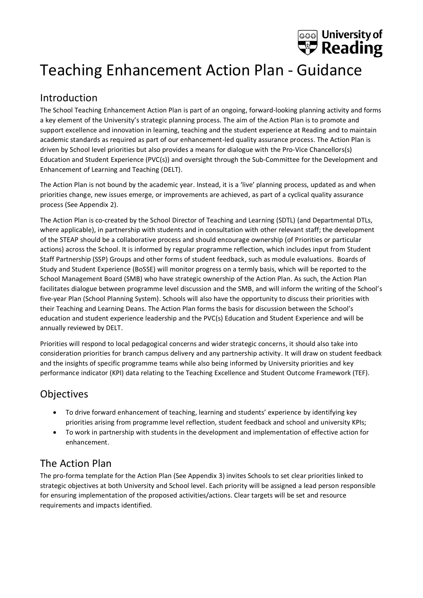

# Teaching Enhancement Action Plan - Guidance

### Introduction

The School Teaching Enhancement Action Plan is part of an ongoing, forward-looking planning activity and forms a key element of the University's strategic planning process. The aim of the Action Plan is to promote and support excellence and innovation in learning, teaching and the student experience at Reading and to maintain academic standards as required as part of our enhancement-led quality assurance process. The Action Plan is driven by School level priorities but also provides a means for dialogue with the Pro-Vice Chancellors(s) Education and Student Experience (PVC(s)) and oversight through the Sub-Committee for the Development and Enhancement of Learning and Teaching (DELT).

The Action Plan is not bound by the academic year. Instead, it is a 'live' planning process, updated as and when priorities change, new issues emerge, or improvements are achieved, as part of a cyclical quality assurance process (See Appendix 2).

The Action Plan is co-created by the School Director of Teaching and Learning (SDTL) (and Departmental DTLs, where applicable), in partnership with students and in consultation with other relevant staff; the development of the STEAP should be a collaborative process and should encourage ownership (of Priorities or particular actions) across the School. It is informed by regular programme reflection, which includes input from Student Staff Partnership (SSP) Groups and other forms of student feedback, such as module evaluations. Boards of Study and Student Experience (BoSSE) will monitor progress on a termly basis, which will be reported to the School Management Board (SMB) who have strategic ownership of the Action Plan. As such, the Action Plan facilitates dialogue between programme level discussion and the SMB, and will inform the writing of the School's five-year Plan (School Planning System). Schools will also have the opportunity to discuss their priorities with their Teaching and Learning Deans. The Action Plan forms the basis for discussion between the School's education and student experience leadership and the PVC(s) Education and Student Experience and will be annually reviewed by DELT.

Priorities will respond to local pedagogical concerns and wider strategic concerns, it should also take into consideration priorities for branch campus delivery and any partnership activity. It will draw on student feedback and the insights of specific programme teams while also being informed by University priorities and key performance indicator (KPI) data relating to the Teaching Excellence and Student Outcome Framework (TEF).

# **Objectives**

- To drive forward enhancement of teaching, learning and students' experience by identifying key priorities arising from programme level reflection, student feedback and school and university KPIs;
- To work in partnership with students in the development and implementation of effective action for enhancement.

# The Action Plan

The pro-forma template for the Action Plan (See Appendix 3) invites Schools to set clear priorities linked to strategic objectives at both University and School level. Each priority will be assigned a lead person responsible for ensuring implementation of the proposed activities/actions. Clear targets will be set and resource requirements and impacts identified.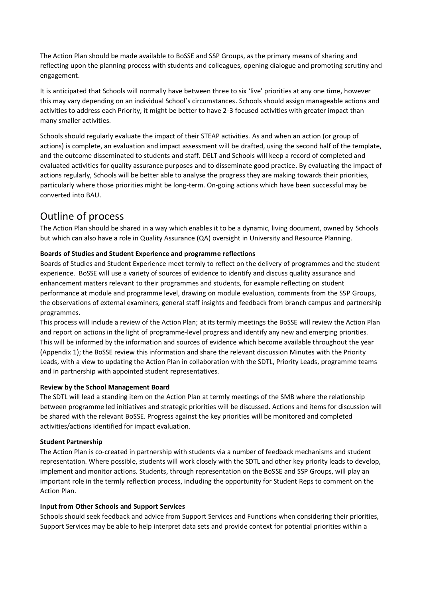The Action Plan should be made available to BoSSE and SSP Groups, as the primary means of sharing and reflecting upon the planning process with students and colleagues, opening dialogue and promoting scrutiny and engagement.

It is anticipated that Schools will normally have between three to six 'live' priorities at any one time, however this may vary depending on an individual School's circumstances. Schools should assign manageable actions and activities to address each Priority, it might be better to have 2-3 focused activities with greater impact than many smaller activities.

Schools should regularly evaluate the impact of their STEAP activities. As and when an action (or group of actions) is complete, an evaluation and impact assessment will be drafted, using the second half of the template, and the outcome disseminated to students and staff. DELT and Schools will keep a record of completed and evaluated activities for quality assurance purposes and to disseminate good practice. By evaluating the impact of actions regularly, Schools will be better able to analyse the progress they are making towards their priorities, particularly where those priorities might be long-term. On-going actions which have been successful may be converted into BAU.

### Outline of process

The Action Plan should be shared in a way which enables it to be a dynamic, living document, owned by Schools but which can also have a role in Quality Assurance (QA) oversight in University and Resource Planning.

#### **Boards of Studies and Student Experience and programme reflections**

Boards of Studies and Student Experience meet termly to reflect on the delivery of programmes and the student experience. BoSSE will use a variety of sources of evidence to identify and discuss quality assurance and enhancement matters relevant to their programmes and students, for example reflecting on student performance at module and programme level, drawing on module evaluation, comments from the SSP Groups, the observations of external examiners, general staff insights and feedback from branch campus and partnership programmes.

This process will include a review of the Action Plan; at its termly meetings the BoSSE will review the Action Plan and report on actions in the light of programme-level progress and identify any new and emerging priorities. This will be informed by the information and sources of evidence which become available throughout the year (Appendix 1); the BoSSE review this information and share the relevant discussion Minutes with the Priority Leads, with a view to updating the Action Plan in collaboration with the SDTL, Priority Leads, programme teams and in partnership with appointed student representatives.

#### **Review by the School Management Board**

The SDTL will lead a standing item on the Action Plan at termly meetings of the SMB where the relationship between programme led initiatives and strategic priorities will be discussed. Actions and items for discussion will be shared with the relevant BoSSE. Progress against the key priorities will be monitored and completed activities/actions identified for impact evaluation.

#### **Student Partnership**

The Action Plan is co-created in partnership with students via a number of feedback mechanisms and student representation. Where possible, students will work closely with the SDTL and other key priority leads to develop, implement and monitor actions. Students, through representation on the BoSSE and SSP Groups, will play an important role in the termly reflection process, including the opportunity for Student Reps to comment on the Action Plan.

#### **Input from Other Schools and Support Services**

Schools should seek feedback and advice from Support Services and Functions when considering their priorities, Support Services may be able to help interpret data sets and provide context for potential priorities within a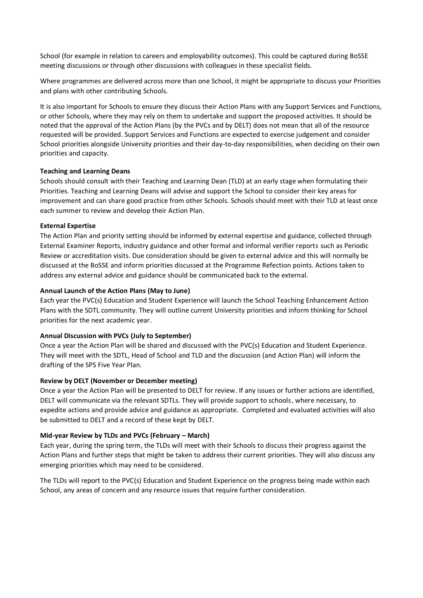School (for example in relation to careers and employability outcomes). This could be captured during BoSSE meeting discussions or through other discussions with colleagues in these specialist fields.

Where programmes are delivered across more than one School, it might be appropriate to discuss your Priorities and plans with other contributing Schools.

It is also important for Schools to ensure they discuss their Action Plans with any Support Services and Functions, or other Schools, where they may rely on them to undertake and support the proposed activities. It should be noted that the approval of the Action Plans (by the PVCs and by DELT) does not mean that all of the resource requested will be provided. Support Services and Functions are expected to exercise judgement and consider School priorities alongside University priorities and their day-to-day responsibilities, when deciding on their own priorities and capacity.

#### **Teaching and Learning Deans**

Schools should consult with their Teaching and Learning Dean (TLD) at an early stage when formulating their Priorities. Teaching and Learning Deans will advise and support the School to consider their key areas for improvement and can share good practice from other Schools. Schools should meet with their TLD at least once each summer to review and develop their Action Plan.

#### **External Expertise**

The Action Plan and priority setting should be informed by external expertise and guidance, collected through External Examiner Reports, industry guidance and other formal and informal verifier reports such as Periodic Review or accreditation visits. Due consideration should be given to external advice and this will normally be discussed at the BoSSE and inform priorities discussed at the Programme Refection points. Actions taken to address any external advice and guidance should be communicated back to the external.

#### **Annual Launch of the Action Plans (May to June)**

Each year the PVC(s) Education and Student Experience will launch the School Teaching Enhancement Action Plans with the SDTL community. They will outline current University priorities and inform thinking for School priorities for the next academic year.

#### **Annual Discussion with PVCs (July to September)**

Once a year the Action Plan will be shared and discussed with the PVC(s) Education and Student Experience. They will meet with the SDTL, Head of School and TLD and the discussion (and Action Plan) will inform the drafting of the SPS Five Year Plan.

#### **Review by DELT (November or December meeting)**

Once a year the Action Plan will be presented to DELT for review. If any issues or further actions are identified, DELT will communicate via the relevant SDTLs. They will provide support to schools, where necessary, to expedite actions and provide advice and guidance as appropriate. Completed and evaluated activities will also be submitted to DELT and a record of these kept by DELT.

#### **Mid-year Review by TLDs and PVCs (February – March)**

Each year, during the spring term, the TLDs will meet with their Schools to discuss their progress against the Action Plans and further steps that might be taken to address their current priorities. They will also discuss any emerging priorities which may need to be considered.

The TLDs will report to the PVC(s) Education and Student Experience on the progress being made within each School, any areas of concern and any resource issues that require further consideration.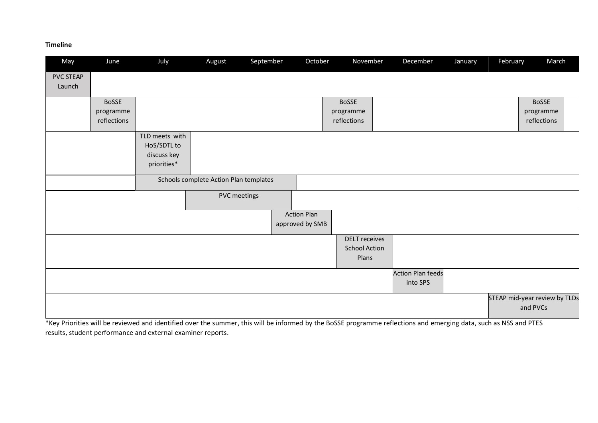#### **Timeline**

| May                        | June         | July                                                        | August                                 | September    | October                               | November             | December                             | January | February | March                                     |
|----------------------------|--------------|-------------------------------------------------------------|----------------------------------------|--------------|---------------------------------------|----------------------|--------------------------------------|---------|----------|-------------------------------------------|
| <b>PVC STEAP</b><br>Launch |              |                                                             |                                        |              |                                       |                      |                                      |         |          |                                           |
|                            | <b>BoSSE</b> |                                                             |                                        |              |                                       | <b>BoSSE</b>         |                                      |         |          | <b>BoSSE</b>                              |
|                            | programme    |                                                             |                                        |              |                                       | programme            |                                      |         |          | programme                                 |
|                            | reflections  |                                                             |                                        |              |                                       | reflections          |                                      |         |          | reflections                               |
|                            |              | TLD meets with<br>HoS/SDTL to<br>discuss key<br>priorities* |                                        |              |                                       |                      |                                      |         |          |                                           |
|                            |              |                                                             | Schools complete Action Plan templates |              |                                       |                      |                                      |         |          |                                           |
|                            |              |                                                             |                                        | PVC meetings |                                       |                      |                                      |         |          |                                           |
|                            |              |                                                             |                                        |              | <b>Action Plan</b><br>approved by SMB |                      |                                      |         |          |                                           |
|                            |              |                                                             |                                        |              |                                       | <b>DELT</b> receives |                                      |         |          |                                           |
|                            |              |                                                             |                                        |              |                                       | <b>School Action</b> |                                      |         |          |                                           |
|                            |              |                                                             |                                        |              |                                       | Plans                |                                      |         |          |                                           |
|                            |              |                                                             |                                        |              |                                       |                      | <b>Action Plan feeds</b><br>into SPS |         |          |                                           |
|                            |              |                                                             |                                        |              |                                       |                      |                                      |         |          | STEAP mid-year review by TLDs<br>and PVCs |

\*Key Priorities will be reviewed and identified over the summer, this will be informed by the BoSSE programme reflections and emerging data, such as NSS and PTES results, student performance and external examiner reports.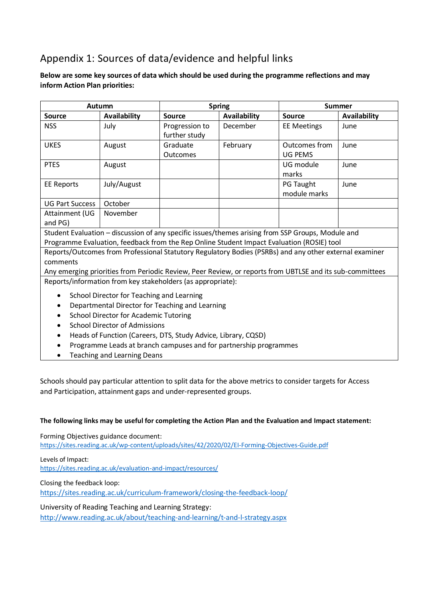# Appendix 1: Sources of data/evidence and helpful links

#### **Below are some key sources of data which should be used during the programme reflections and may inform Action Plan priorities:**

|                                                                                                                                                                                                                                                                                                                                                                                                                     | Autumn                                                                                                                                                                                                                                                                                                          |                                 | <b>Spring</b>       |                                                                                                   | Summer              |  |  |
|---------------------------------------------------------------------------------------------------------------------------------------------------------------------------------------------------------------------------------------------------------------------------------------------------------------------------------------------------------------------------------------------------------------------|-----------------------------------------------------------------------------------------------------------------------------------------------------------------------------------------------------------------------------------------------------------------------------------------------------------------|---------------------------------|---------------------|---------------------------------------------------------------------------------------------------|---------------------|--|--|
| <b>Source</b>                                                                                                                                                                                                                                                                                                                                                                                                       | <b>Availability</b>                                                                                                                                                                                                                                                                                             | <b>Source</b>                   | <b>Availability</b> | <b>Source</b>                                                                                     | <b>Availability</b> |  |  |
| <b>NSS</b>                                                                                                                                                                                                                                                                                                                                                                                                          | July                                                                                                                                                                                                                                                                                                            | Progression to<br>further study | December            | <b>EE Meetings</b>                                                                                | June                |  |  |
| <b>UKES</b>                                                                                                                                                                                                                                                                                                                                                                                                         | August                                                                                                                                                                                                                                                                                                          | Graduate<br>Outcomes            | February            | Outcomes from<br><b>UG PEMS</b>                                                                   | June                |  |  |
| <b>PTES</b>                                                                                                                                                                                                                                                                                                                                                                                                         | August                                                                                                                                                                                                                                                                                                          |                                 |                     | UG module<br>marks                                                                                | June                |  |  |
| <b>EE Reports</b>                                                                                                                                                                                                                                                                                                                                                                                                   | July/August                                                                                                                                                                                                                                                                                                     |                                 |                     | PG Taught<br>module marks                                                                         | June                |  |  |
| <b>UG Part Success</b>                                                                                                                                                                                                                                                                                                                                                                                              | October                                                                                                                                                                                                                                                                                                         |                                 |                     |                                                                                                   |                     |  |  |
| Attainment (UG<br>and PG)                                                                                                                                                                                                                                                                                                                                                                                           | November                                                                                                                                                                                                                                                                                                        |                                 |                     |                                                                                                   |                     |  |  |
|                                                                                                                                                                                                                                                                                                                                                                                                                     |                                                                                                                                                                                                                                                                                                                 |                                 |                     | Student Evaluation - discussion of any specific issues/themes arising from SSP Groups, Module and |                     |  |  |
| comments                                                                                                                                                                                                                                                                                                                                                                                                            | Programme Evaluation, feedback from the Rep Online Student Impact Evaluation (ROSIE) tool<br>Reports/Outcomes from Professional Statutory Regulatory Bodies (PSRBs) and any other external examiner<br>Any emerging priorities from Periodic Review, Peer Review, or reports from UBTLSE and its sub-committees |                                 |                     |                                                                                                   |                     |  |  |
|                                                                                                                                                                                                                                                                                                                                                                                                                     |                                                                                                                                                                                                                                                                                                                 |                                 |                     |                                                                                                   |                     |  |  |
| Reports/information from key stakeholders (as appropriate):<br>School Director for Teaching and Learning<br>$\bullet$<br>Departmental Director for Teaching and Learning<br>$\bullet$<br><b>School Director for Academic Tutoring</b><br><b>School Director of Admissions</b><br>Heads of Function (Careers, DTS, Study Advice, Library, CQSD)<br>Programme Leads at branch campuses and for partnership programmes |                                                                                                                                                                                                                                                                                                                 |                                 |                     |                                                                                                   |                     |  |  |
| المتحال والمتحدث والمتعالم والمتحددة                                                                                                                                                                                                                                                                                                                                                                                |                                                                                                                                                                                                                                                                                                                 |                                 |                     |                                                                                                   |                     |  |  |

• Teaching and Learning Deans

Schools should pay particular attention to split data for the above metrics to consider targets for Access and Participation, attainment gaps and under-represented groups.

#### **The following links may be useful for completing the Action Plan and the Evaluation and Impact statement:**

Forming Objectives guidance document: <https://sites.reading.ac.uk/wp-content/uploads/sites/42/2020/02/EI-Forming-Objectives-Guide.pdf>

Levels of Impact: <https://sites.reading.ac.uk/evaluation-and-impact/resources/>

Closing the feedback loop:

<https://sites.reading.ac.uk/curriculum-framework/closing-the-feedback-loop/>

University of Reading Teaching and Learning Strategy: <http://www.reading.ac.uk/about/teaching-and-learning/t-and-l-strategy.aspx>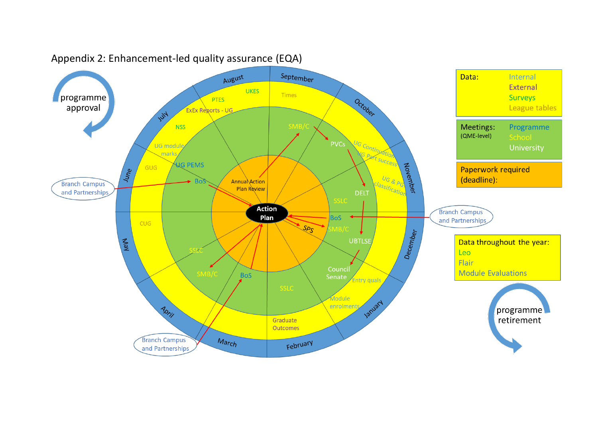

# Appendix 2: Enhancement-led quality assurance (EQA)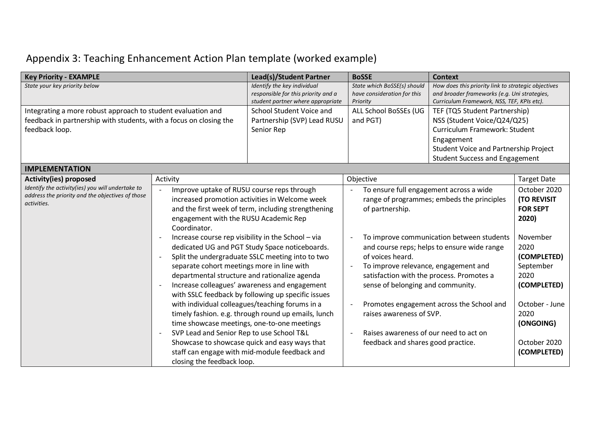# Appendix 3: Teaching Enhancement Action Plan template (worked example)

| <b>Key Priority - EXAMPLE</b>                                                                                                                        |                                                                                                                                                                                                                                                                                                                                                                                                  | Lead(s)/Student Partner                                                                                                                                                                                                                                                                                                                                                                                                                                                                                                      | <b>BOSSE</b>                                                                                                                                                                                                                                                                                                                      | <b>Context</b>                                                                                                                                                                                |                                                                                                                                                                                                                                   |
|------------------------------------------------------------------------------------------------------------------------------------------------------|--------------------------------------------------------------------------------------------------------------------------------------------------------------------------------------------------------------------------------------------------------------------------------------------------------------------------------------------------------------------------------------------------|------------------------------------------------------------------------------------------------------------------------------------------------------------------------------------------------------------------------------------------------------------------------------------------------------------------------------------------------------------------------------------------------------------------------------------------------------------------------------------------------------------------------------|-----------------------------------------------------------------------------------------------------------------------------------------------------------------------------------------------------------------------------------------------------------------------------------------------------------------------------------|-----------------------------------------------------------------------------------------------------------------------------------------------------------------------------------------------|-----------------------------------------------------------------------------------------------------------------------------------------------------------------------------------------------------------------------------------|
| State your key priority below                                                                                                                        |                                                                                                                                                                                                                                                                                                                                                                                                  | Identify the key individual<br>responsible for this priority and a<br>student partner where appropriate                                                                                                                                                                                                                                                                                                                                                                                                                      | State which BoSSE(s) should<br>have consideration for this<br>Priority                                                                                                                                                                                                                                                            | How does this priority link to strategic objectives<br>and broader frameworks (e.g. Uni strategies,<br>Curriculum Framework, NSS, TEF, KPIs etc).                                             |                                                                                                                                                                                                                                   |
| Integrating a more robust approach to student evaluation and<br>feedback in partnership with students, with a focus on closing the<br>feedback loop. |                                                                                                                                                                                                                                                                                                                                                                                                  | School Student Voice and<br>Partnership (SVP) Lead RUSU<br>Senior Rep                                                                                                                                                                                                                                                                                                                                                                                                                                                        | ALL School BoSSEs (UG<br>and PGT)                                                                                                                                                                                                                                                                                                 | TEF (TQ5 Student Partnership)<br>NSS (Student Voice/Q24/Q25)<br>Curriculum Framework: Student<br>Engagement<br>Student Voice and Partnership Project<br><b>Student Success and Engagement</b> |                                                                                                                                                                                                                                   |
| <b>IMPLEMENTATION</b>                                                                                                                                |                                                                                                                                                                                                                                                                                                                                                                                                  |                                                                                                                                                                                                                                                                                                                                                                                                                                                                                                                              |                                                                                                                                                                                                                                                                                                                                   |                                                                                                                                                                                               |                                                                                                                                                                                                                                   |
| <b>Activity(ies) proposed</b><br>Identify the activity(ies) you will undertake to<br>address the priority and the objectives of those<br>activities. | Activity<br>Improve uptake of RUSU course reps through<br>engagement with the RUSU Academic Rep<br>Coordinator.<br>Increase course rep visibility in the School - via<br>separate cohort meetings more in line with<br>with individual colleagues/teaching forums in a<br>time showcase meetings, one-to-one meetings<br>SVP Lead and Senior Rep to use School T&L<br>closing the feedback loop. | increased promotion activities in Welcome week<br>and the first week of term, including strengthening<br>dedicated UG and PGT Study Space noticeboards.<br>Split the undergraduate SSLC meeting into to two<br>departmental structure and rationalize agenda<br>Increase colleagues' awareness and engagement<br>with SSLC feedback by following up specific issues<br>timely fashion. e.g. through round up emails, lunch<br>Showcase to showcase quick and easy ways that<br>staff can engage with mid-module feedback and | Objective<br>To ensure full engagement across a wide<br>of partnership.<br>of voices heard.<br>To improve relevance, engagement and<br>satisfaction with the process. Promotes a<br>sense of belonging and community.<br>raises awareness of SVP.<br>Raises awareness of our need to act on<br>feedback and shares good practice. | range of programmes; embeds the principles<br>To improve communication between students<br>and course reps; helps to ensure wide range<br>Promotes engagement across the School and           | <b>Target Date</b><br>October 2020<br><b>(TO REVISIT</b><br><b>FOR SEPT</b><br>2020)<br>November<br>2020<br>(COMPLETED)<br>September<br>2020<br>(COMPLETED)<br>October - June<br>2020<br>(ONGOING)<br>October 2020<br>(COMPLETED) |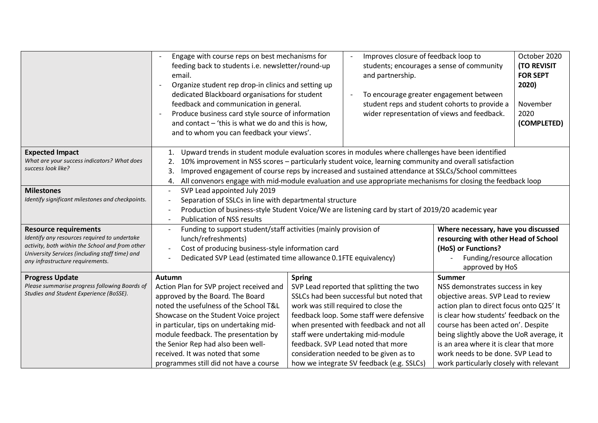|                                                                              | Engage with course reps on best mechanisms for<br>feeding back to students i.e. newsletter/round-up<br>email.<br>Organize student rep drop-in clinics and setting up<br>dedicated Blackboard organisations for student<br>feedback and communication in general.<br>Produce business card style source of information<br>and contact – 'this is what we do and this is how,<br>and to whom you can feedback your views'. | Improves closure of feedback loop to<br>and partnership.                                                                                                                                                       | students; encourages a sense of community<br>To encourage greater engagement between<br>student reps and student cohorts to provide a<br>wider representation of views and feedback. | October 2020<br><b>(TO REVISIT</b><br><b>FOR SEPT</b><br>2020)<br>November<br>2020<br>(COMPLETED) |  |  |
|------------------------------------------------------------------------------|--------------------------------------------------------------------------------------------------------------------------------------------------------------------------------------------------------------------------------------------------------------------------------------------------------------------------------------------------------------------------------------------------------------------------|----------------------------------------------------------------------------------------------------------------------------------------------------------------------------------------------------------------|--------------------------------------------------------------------------------------------------------------------------------------------------------------------------------------|---------------------------------------------------------------------------------------------------|--|--|
| <b>Expected Impact</b>                                                       | 1.                                                                                                                                                                                                                                                                                                                                                                                                                       | Upward trends in student module evaluation scores in modules where challenges have been identified                                                                                                             |                                                                                                                                                                                      |                                                                                                   |  |  |
| What are your success indicators? What does<br>success look like?            | 2.                                                                                                                                                                                                                                                                                                                                                                                                                       | 10% improvement in NSS scores - particularly student voice, learning community and overall satisfaction<br>Improved engagement of course reps by increased and sustained attendance at SSLCs/School committees |                                                                                                                                                                                      |                                                                                                   |  |  |
|                                                                              | 3.<br>4.                                                                                                                                                                                                                                                                                                                                                                                                                 |                                                                                                                                                                                                                |                                                                                                                                                                                      |                                                                                                   |  |  |
| <b>Milestones</b>                                                            | All convenors engage with mid-module evaluation and use appropriate mechanisms for closing the feedback loop<br>SVP Lead appointed July 2019<br>$\overline{\phantom{a}}$                                                                                                                                                                                                                                                 |                                                                                                                                                                                                                |                                                                                                                                                                                      |                                                                                                   |  |  |
| Identify significant milestones and checkpoints.                             | Separation of SSLCs in line with departmental structure<br>$\overline{\phantom{a}}$                                                                                                                                                                                                                                                                                                                                      |                                                                                                                                                                                                                |                                                                                                                                                                                      |                                                                                                   |  |  |
|                                                                              | Production of business-style Student Voice/We are listening card by start of 2019/20 academic year<br>$\overline{\phantom{a}}$                                                                                                                                                                                                                                                                                           |                                                                                                                                                                                                                |                                                                                                                                                                                      |                                                                                                   |  |  |
|                                                                              | <b>Publication of NSS results</b><br>$\overline{\phantom{a}}$                                                                                                                                                                                                                                                                                                                                                            |                                                                                                                                                                                                                |                                                                                                                                                                                      |                                                                                                   |  |  |
| <b>Resource requirements</b><br>Identify any resources required to undertake | Funding to support student/staff activities (mainly provision of<br>lunch/refreshments)                                                                                                                                                                                                                                                                                                                                  |                                                                                                                                                                                                                | Where necessary, have you discussed                                                                                                                                                  |                                                                                                   |  |  |
| activity, both within the School and from other                              | Cost of producing business-style information card<br>$\overline{\phantom{a}}$                                                                                                                                                                                                                                                                                                                                            | resourcing with other Head of School<br>(HoS) or Functions?                                                                                                                                                    |                                                                                                                                                                                      |                                                                                                   |  |  |
| University Services (including staff time) and                               | Dedicated SVP Lead (estimated time allowance 0.1FTE equivalency)                                                                                                                                                                                                                                                                                                                                                         | Funding/resource allocation                                                                                                                                                                                    |                                                                                                                                                                                      |                                                                                                   |  |  |
| any infrastructure requirements.                                             |                                                                                                                                                                                                                                                                                                                                                                                                                          | approved by HoS                                                                                                                                                                                                |                                                                                                                                                                                      |                                                                                                   |  |  |
| <b>Progress Update</b>                                                       | Autumn                                                                                                                                                                                                                                                                                                                                                                                                                   | <b>Spring</b>                                                                                                                                                                                                  | Summer                                                                                                                                                                               |                                                                                                   |  |  |
| Please summarise progress following Boards of                                | Action Plan for SVP project received and                                                                                                                                                                                                                                                                                                                                                                                 | SVP Lead reported that splitting the two                                                                                                                                                                       | NSS demonstrates success in key                                                                                                                                                      |                                                                                                   |  |  |
| Studies and Student Experience (BoSSE).                                      | approved by the Board. The Board<br>SSLCs had been successful but noted that                                                                                                                                                                                                                                                                                                                                             |                                                                                                                                                                                                                | objective areas. SVP Lead to review                                                                                                                                                  |                                                                                                   |  |  |
|                                                                              | noted the usefulness of the School T&L                                                                                                                                                                                                                                                                                                                                                                                   | work was still required to close the                                                                                                                                                                           | action plan to direct focus onto Q25' It                                                                                                                                             |                                                                                                   |  |  |
|                                                                              | Showcase on the Student Voice project                                                                                                                                                                                                                                                                                                                                                                                    | feedback loop. Some staff were defensive                                                                                                                                                                       | is clear how students' feedback on the                                                                                                                                               |                                                                                                   |  |  |
|                                                                              | in particular, tips on undertaking mid-                                                                                                                                                                                                                                                                                                                                                                                  | when presented with feedback and not all                                                                                                                                                                       | course has been acted on'. Despite                                                                                                                                                   |                                                                                                   |  |  |
|                                                                              | module feedback. The presentation by                                                                                                                                                                                                                                                                                                                                                                                     | staff were undertaking mid-module                                                                                                                                                                              | being slightly above the UoR average, it                                                                                                                                             |                                                                                                   |  |  |
|                                                                              | the Senior Rep had also been well-                                                                                                                                                                                                                                                                                                                                                                                       | feedback. SVP Lead noted that more                                                                                                                                                                             | is an area where it is clear that more                                                                                                                                               |                                                                                                   |  |  |
|                                                                              | received. It was noted that some                                                                                                                                                                                                                                                                                                                                                                                         | consideration needed to be given as to                                                                                                                                                                         | work needs to be done. SVP Lead to                                                                                                                                                   |                                                                                                   |  |  |
|                                                                              | programmes still did not have a course                                                                                                                                                                                                                                                                                                                                                                                   | how we integrate SV feedback (e.g. SSLCs)                                                                                                                                                                      | work particularly closely with relevant                                                                                                                                              |                                                                                                   |  |  |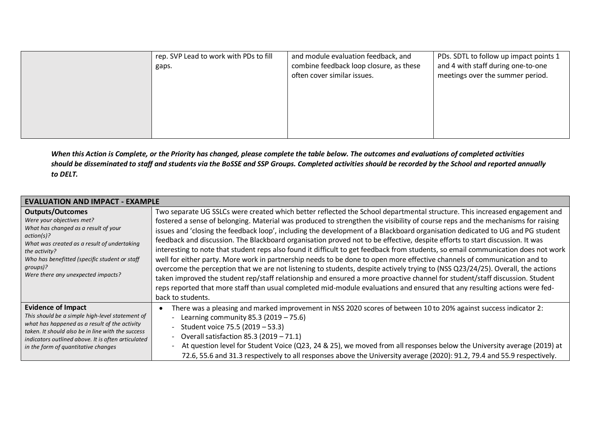| rep. SVP Lead to work with PDs to fill<br>gaps. | and module evaluation feedback, and<br>combine feedback loop closure, as these<br>often cover similar issues. | PDs. SDTL to follow up impact points 1<br>and 4 with staff during one-to-one<br>meetings over the summer period. |
|-------------------------------------------------|---------------------------------------------------------------------------------------------------------------|------------------------------------------------------------------------------------------------------------------|
|                                                 |                                                                                                               |                                                                                                                  |

*When this Action is Complete, or the Priority has changed, please complete the table below. The outcomes and evaluations of completed activities should be disseminated to staff and students via the BoSSE and SSP Groups. Completed activities should be recorded by the School and reported annually to DELT.*

| <b>EVALUATION AND IMPACT - EXAMPLE</b>                                                                                                                                                                                                                                           |                                                                                                                                                                                                                                                                                                                                                                                                                                                                                                                                                                                                                                                                                                                                                                                                                                                                                                                                                                                                                                                                                                                                                                                                                       |
|----------------------------------------------------------------------------------------------------------------------------------------------------------------------------------------------------------------------------------------------------------------------------------|-----------------------------------------------------------------------------------------------------------------------------------------------------------------------------------------------------------------------------------------------------------------------------------------------------------------------------------------------------------------------------------------------------------------------------------------------------------------------------------------------------------------------------------------------------------------------------------------------------------------------------------------------------------------------------------------------------------------------------------------------------------------------------------------------------------------------------------------------------------------------------------------------------------------------------------------------------------------------------------------------------------------------------------------------------------------------------------------------------------------------------------------------------------------------------------------------------------------------|
| <b>Outputs/Outcomes</b><br>Were your objectives met?<br>What has changed as a result of your<br>$action(s)$ ?<br>What was created as a result of undertaking<br>the activity?<br>Who has benefitted (specific student or staff<br>groups)?<br>Were there any unexpected impacts? | Two separate UG SSLCs were created which better reflected the School departmental structure. This increased engagement and<br>fostered a sense of belonging. Material was produced to strengthen the visibility of course reps and the mechanisms for raising<br>issues and 'closing the feedback loop', including the development of a Blackboard organisation dedicated to UG and PG student<br>feedback and discussion. The Blackboard organisation proved not to be effective, despite efforts to start discussion. It was<br>interesting to note that student reps also found it difficult to get feedback from students, so email communication does not work<br>well for either party. More work in partnership needs to be done to open more effective channels of communication and to<br>overcome the perception that we are not listening to students, despite actively trying to (NSS Q23/24/25). Overall, the actions<br>taken improved the student rep/staff relationship and ensured a more proactive channel for student/staff discussion. Student<br>reps reported that more staff than usual completed mid-module evaluations and ensured that any resulting actions were fed-<br>back to students. |
| <b>Evidence of Impact</b><br>This should be a simple high-level statement of<br>what has happened as a result of the activity<br>taken. It should also be in line with the success<br>indicators outlined above. It is often articulated<br>in the form of quantitative changes  | There was a pleasing and marked improvement in NSS 2020 scores of between 10 to 20% against success indicator 2:<br>Learning community 85.3 (2019 - 75.6)<br>Student voice 75.5 (2019 - 53.3)<br>Overall satisfaction 85.3 (2019 - 71.1)<br>At question level for Student Voice (Q23, 24 & 25), we moved from all responses below the University average (2019) at<br>72.6, 55.6 and 31.3 respectively to all responses above the University average (2020): 91.2, 79.4 and 55.9 respectively.                                                                                                                                                                                                                                                                                                                                                                                                                                                                                                                                                                                                                                                                                                                        |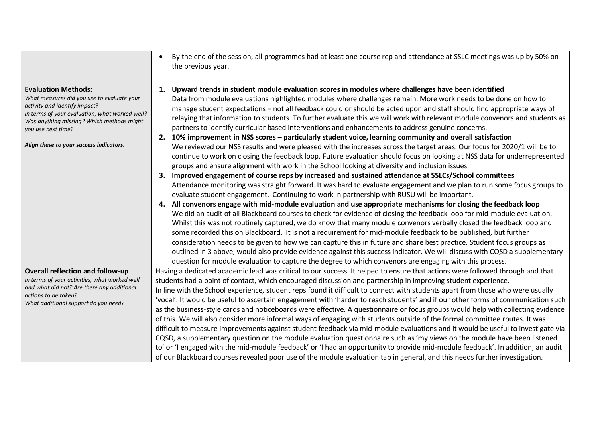|                                                                                                                                                                                                                                                                           | By the end of the session, all programmes had at least one course rep and attendance at SSLC meetings was up by 50% on<br>$\bullet$<br>the previous year.                                                                                                                                                                                                                                                                                                                                                                                                                                                                                                                                                                                                                                                                                                                                                                                                                                                                                                                                                                                                                                                                                                                                                                                                                                                                                                                                                                                                                                                                                                                                                                                                                                                                                                                                                                                                                                                                                                                                                                                                                                                                                                              |
|---------------------------------------------------------------------------------------------------------------------------------------------------------------------------------------------------------------------------------------------------------------------------|------------------------------------------------------------------------------------------------------------------------------------------------------------------------------------------------------------------------------------------------------------------------------------------------------------------------------------------------------------------------------------------------------------------------------------------------------------------------------------------------------------------------------------------------------------------------------------------------------------------------------------------------------------------------------------------------------------------------------------------------------------------------------------------------------------------------------------------------------------------------------------------------------------------------------------------------------------------------------------------------------------------------------------------------------------------------------------------------------------------------------------------------------------------------------------------------------------------------------------------------------------------------------------------------------------------------------------------------------------------------------------------------------------------------------------------------------------------------------------------------------------------------------------------------------------------------------------------------------------------------------------------------------------------------------------------------------------------------------------------------------------------------------------------------------------------------------------------------------------------------------------------------------------------------------------------------------------------------------------------------------------------------------------------------------------------------------------------------------------------------------------------------------------------------------------------------------------------------------------------------------------------------|
| <b>Evaluation Methods:</b><br>What measures did you use to evaluate your<br>activity and identify impact?<br>In terms of your evaluation, what worked well?<br>Was anything missing? Which methods might<br>you use next time?<br>Align these to your success indicators. | Upward trends in student module evaluation scores in modules where challenges have been identified<br>1.<br>Data from module evaluations highlighted modules where challenges remain. More work needs to be done on how to<br>manage student expectations - not all feedback could or should be acted upon and staff should find appropriate ways of<br>relaying that information to students. To further evaluate this we will work with relevant module convenors and students as<br>partners to identify curricular based interventions and enhancements to address genuine concerns.<br>10% improvement in NSS scores - particularly student voice, learning community and overall satisfaction<br>2.<br>We reviewed our NSS results and were pleased with the increases across the target areas. Our focus for 2020/1 will be to<br>continue to work on closing the feedback loop. Future evaluation should focus on looking at NSS data for underrepresented<br>groups and ensure alignment with work in the School looking at diversity and inclusion issues.<br>Improved engagement of course reps by increased and sustained attendance at SSLCs/School committees<br>3.<br>Attendance monitoring was straight forward. It was hard to evaluate engagement and we plan to run some focus groups to<br>evaluate student engagement. Continuing to work in partnership with RUSU will be important.<br>All convenors engage with mid-module evaluation and use appropriate mechanisms for closing the feedback loop<br>4.<br>We did an audit of all Blackboard courses to check for evidence of closing the feedback loop for mid-module evaluation.<br>Whilst this was not routinely captured, we do know that many module convenors verbally closed the feedback loop and<br>some recorded this on Blackboard. It is not a requirement for mid-module feedback to be published, but further<br>consideration needs to be given to how we can capture this in future and share best practice. Student focus groups as<br>outlined in 3 above, would also provide evidence against this success indicator. We will discuss with CQSD a supplementary<br>question for module evaluation to capture the degree to which convenors are engaging with this process. |
| <b>Overall reflection and follow-up</b><br>In terms of your activities, what worked well<br>and what did not? Are there any additional<br>actions to be taken?<br>What additional support do you need?                                                                    | Having a dedicated academic lead was critical to our success. It helped to ensure that actions were followed through and that<br>students had a point of contact, which encouraged discussion and partnership in improving student experience.<br>In line with the School experience, student reps found it difficult to connect with students apart from those who were usually<br>'vocal'. It would be useful to ascertain engagement with 'harder to reach students' and if our other forms of communication such<br>as the business-style cards and noticeboards were effective. A questionnaire or focus groups would help with collecting evidence<br>of this. We will also consider more informal ways of engaging with students outside of the formal committee routes. It was<br>difficult to measure improvements against student feedback via mid-module evaluations and it would be useful to investigate via<br>CQSD, a supplementary question on the module evaluation questionnaire such as 'my views on the module have been listened<br>to' or 'I engaged with the mid-module feedback' or 'I had an opportunity to provide mid-module feedback'. In addition, an audit<br>of our Blackboard courses revealed poor use of the module evaluation tab in general, and this needs further investigation.                                                                                                                                                                                                                                                                                                                                                                                                                                                                                                                                                                                                                                                                                                                                                                                                                                                                                                                                                 |